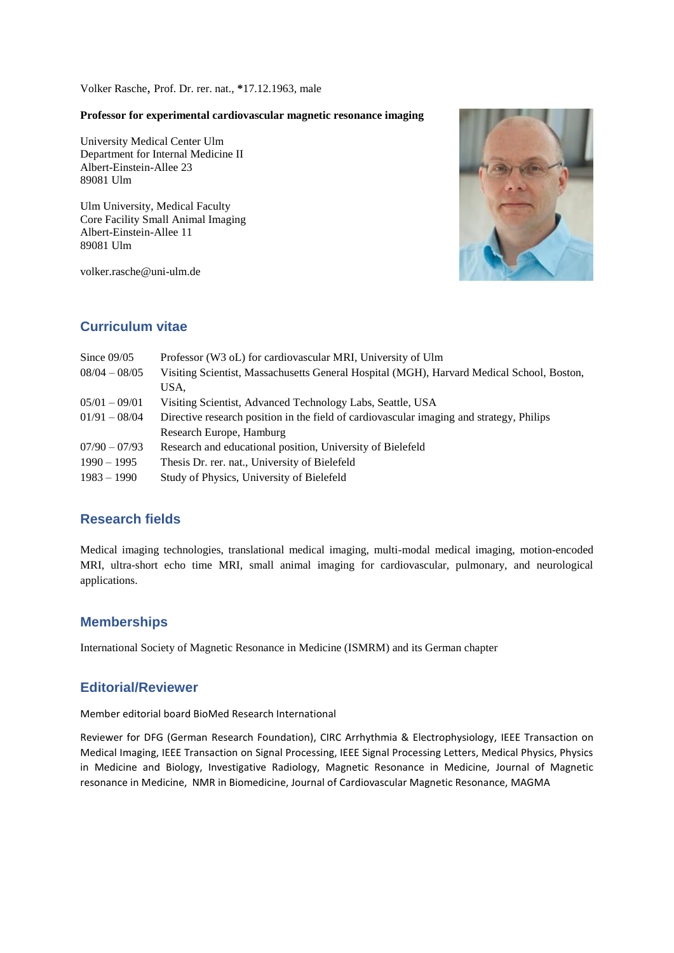Volker Rasche, Prof. Dr. rer. nat., **\***17.12.1963, male

#### **Professor for experimental cardiovascular magnetic resonance imaging**

University Medical Center Ulm Department for Internal Medicine II Albert-Einstein-Allee 23 89081 Ulm

Ulm University, Medical Faculty Core Facility Small Animal Imaging Albert-Einstein-Allee 11 89081 Ulm

volker.rasche@uni-ulm.de



## **Curriculum vitae**

| Since $09/05$   | Professor (W3 oL) for cardiovascular MRI, University of Ulm                               |  |
|-----------------|-------------------------------------------------------------------------------------------|--|
| $08/04 - 08/05$ | Visiting Scientist, Massachusetts General Hospital (MGH), Harvard Medical School, Boston, |  |
|                 | USA.                                                                                      |  |
| $05/01 - 09/01$ | Visiting Scientist, Advanced Technology Labs, Seattle, USA                                |  |
| $01/91 - 08/04$ | Directive research position in the field of cardiovascular imaging and strategy, Philips  |  |
|                 | Research Europe, Hamburg                                                                  |  |
| $07/90 - 07/93$ | Research and educational position, University of Bielefeld                                |  |
| $1990 - 1995$   | Thesis Dr. rer. nat., University of Bielefeld                                             |  |
| $1983 - 1990$   | Study of Physics, University of Bielefeld                                                 |  |

### **Research fields**

Medical imaging technologies, translational medical imaging, multi-modal medical imaging, motion-encoded MRI, ultra-short echo time MRI, small animal imaging for cardiovascular, pulmonary, and neurological applications.

### **Memberships**

International Society of Magnetic Resonance in Medicine (ISMRM) and its German chapter

### **Editorial/Reviewer**

Member editorial board BioMed Research International

Reviewer for DFG (German Research Foundation), CIRC Arrhythmia & Electrophysiology, IEEE Transaction on Medical Imaging, IEEE Transaction on Signal Processing, IEEE Signal Processing Letters, Medical Physics, Physics in Medicine and Biology, Investigative Radiology, Magnetic Resonance in Medicine, Journal of Magnetic resonance in Medicine, NMR in Biomedicine, Journal of Cardiovascular Magnetic Resonance, MAGMA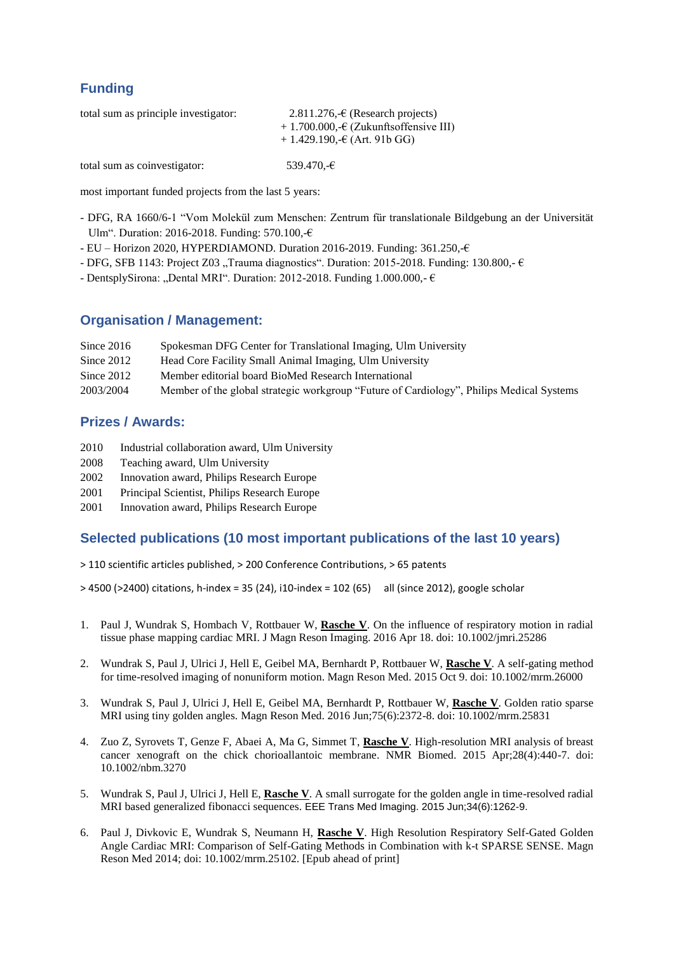# **Funding**

| total sum as principle investigator: | $2.811.276, \text{∈}$ (Research projects) |  |
|--------------------------------------|-------------------------------------------|--|
|                                      | $+1.700.000, -C$ (Zukunftsoffensive III)  |  |
|                                      | $+1.429.190 \div (Art. 91b \cdot G)$      |  |
|                                      |                                           |  |
| total sum as coinvestigator:         | 539.470,-€                                |  |

most important funded projects from the last 5 years:

- DFG, RA 1660/6-1 "Vom Molekül zum Menschen: Zentrum für translationale Bildgebung an der Universität Ulm". Duration: 2016-2018. Funding: 570.100,-€
- EU Horizon 2020, HYPERDIAMOND. Duration 2016-2019. Funding: 361.250,-€
- DFG, SFB 1143: Project Z03 "Trauma diagnostics". Duration: 2015-2018. Funding: 130.800,- $\epsilon$
- DentsplySirona: "Dental MRI". Duration: 2012-2018. Funding 1.000.000,- $\epsilon$

### **Organisation / Management:**

| Since $2016$ | Spokesman DFG Center for Translational Imaging, Ulm University |
|--------------|----------------------------------------------------------------|
| Since $2012$ | Head Core Facility Small Animal Imaging, Ulm University        |

- Since 2012 Member editorial board BioMed Research International
- 2003/2004 Member of the global strategic workgroup "Future of Cardiology", Philips Medical Systems

### **Prizes / Awards:**

- 2010 Industrial collaboration award, Ulm University
- 2008 Teaching award, Ulm University
- 2002 Innovation award, Philips Research Europe
- 2001 Principal Scientist, Philips Research Europe
- 2001 Innovation award, Philips Research Europe

#### **Selected publications (10 most important publications of the last 10 years)**

- > 110 scientific articles published, > 200 Conference Contributions, > 65 patents
- > 4500 (>2400) citations, h-index = 35 (24), i10-index = 102 (65) all (since 2012), google scholar
- 1. Paul J, Wundrak S, Hombach V, Rottbauer W, **Rasche V**. On the influence of respiratory motion in radial tissue phase mapping cardiac MRI. J Magn Reson Imaging. 2016 Apr 18. doi: 10.1002/jmri.25286
- 2. Wundrak S, Paul J, Ulrici J, Hell E, Geibel MA, Bernhardt P, Rottbauer W, **Rasche V**. A self-gating method for time-resolved imaging of nonuniform motion. Magn Reson Med. 2015 Oct 9. doi: 10.1002/mrm.26000
- 3. Wundrak S, Paul J, Ulrici J, Hell E, Geibel MA, Bernhardt P, Rottbauer W, **Rasche V**. Golden ratio sparse MRI using tiny golden angles. Magn Reson Med. 2016 Jun;75(6):2372-8. doi: 10.1002/mrm.25831
- 4. Zuo Z, Syrovets T, Genze F, Abaei A, Ma G, Simmet T, **Rasche V**. High-resolution MRI analysis of breast cancer xenograft on the chick chorioallantoic membrane. NMR Biomed. 2015 Apr;28(4):440-7. doi: 10.1002/nbm.3270
- 5. Wundrak S, Paul J, Ulrici J, Hell E, **Rasche V**. A small surrogate for the golden angle in time-resolved radial MRI based generalized fibonacci sequences. EEE Trans Med Imaging. 2015 Jun;34(6):1262-9.
- 6. Paul J, Divkovic E, Wundrak S, Neumann H, **Rasche V**. High Resolution Respiratory Self-Gated Golden Angle Cardiac MRI: Comparison of Self-Gating Methods in Combination with k-t SPARSE SENSE. Magn Reson Med 2014; doi: 10.1002/mrm.25102. [Epub ahead of print]